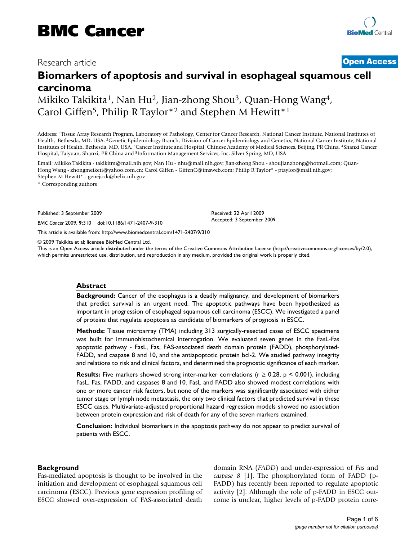## Research article **[Open Access](http://www.biomedcentral.com/info/about/charter/)**

# **Biomarkers of apoptosis and survival in esophageal squamous cell carcinoma**

Mikiko Takikita<sup>1</sup>, Nan Hu<sup>2</sup>, Jian-zhong Shou<sup>3</sup>, Quan-Hong Wang<sup>4</sup>, Carol Giffen<sup>5</sup>, Philip R Taylor<sup>\*2</sup> and Stephen M Hewitt<sup>\*1</sup>

Address: 1Tissue Array Research Program, Laboratory of Pathology, Center for Cancer Research, National Cancer Institute, National Institutes of Health, Bethesda, MD, USA, 2Genetic Epidemiology Branch, Division of Cancer Epidemiology and Genetics, National Cancer Institute, National Institutes of Health, Bethesda, MD, USA, 3Cancer Institute and Hospital, Chinese Academy of Medical Sciences, Beijing, PR China, 4Shanxi Cancer Hospital, Taiyuan, Shanxi, PR China and 5Information Management Services, Inc, Silver Spring, MD, USA

Email: Mikiko Takikita - takikitm@mail.nih.gov; Nan Hu - nhu@mail.nih.gov; Jian-zhong Shou - shoujianzhong@hotmail.com; Quan-Hong Wang - zhongmeiketi@yahoo.com.cn; Carol Giffen - GiffenC@imsweb.com; Philip R Taylor\* - ptaylor@mail.nih.gov; Stephen M Hewitt\* - genejock@helix.nih.gov

\* Corresponding authors

Published: 3 September 2009

*BMC Cancer* 2009, **9**:310 doi:10.1186/1471-2407-9-310

[This article is available from: http://www.biomedcentral.com/1471-2407/9/310](http://www.biomedcentral.com/1471-2407/9/310)

© 2009 Takikita et al; licensee BioMed Central Ltd.

This is an Open Access article distributed under the terms of the Creative Commons Attribution License [\(http://creativecommons.org/licenses/by/2.0\)](http://creativecommons.org/licenses/by/2.0), which permits unrestricted use, distribution, and reproduction in any medium, provided the original work is properly cited.

Received: 22 April 2009 Accepted: 3 September 2009

#### **Abstract**

**Background:** Cancer of the esophagus is a deadly malignancy, and development of biomarkers that predict survival is an urgent need. The apoptotic pathways have been hypothesized as important in progression of esophageal squamous cell carcinoma (ESCC). We investigated a panel of proteins that regulate apoptosis as candidate of biomarkers of prognosis in ESCC.

**Methods:** Tissue microarray (TMA) including 313 surgically-resected cases of ESCC specimens was built for immunohistochemical interrogation. We evaluated seven genes in the FasL-Fas apoptotic pathway - FasL, Fas, FAS-associated death domain protein (FADD), phosphorylated-FADD, and caspase 8 and 10, and the antiapoptotic protein bcl-2. We studied pathway integrity and relations to risk and clinical factors, and determined the prognostic significance of each marker.

**Results:** Five markers showed strong inter-marker correlations ( $r \ge 0.28$ ,  $p \le 0.001$ ), including FasL, Fas, FADD, and caspases 8 and 10. FasL and FADD also showed modest correlations with one or more cancer risk factors, but none of the markers was significantly associated with either tumor stage or lymph node metastasis, the only two clinical factors that predicted survival in these ESCC cases. Multivariate-adjusted proportional hazard regression models showed no association between protein expression and risk of death for any of the seven markers examined.

**Conclusion:** Individual biomarkers in the apoptosis pathway do not appear to predict survival of patients with ESCC.

#### **Background**

Fas-mediated apoptosis is thought to be involved in the initiation and development of esophageal squamous cell carcinoma (ESCC). Previous gene expression profiling of ESCC showed over-expression of FAS-associated death domain RNA (*FADD*) and under-expression of *Fas* and *caspase 8* [1]. The phosphorylated form of FADD (p-FADD) has recently been reported to regulate apoptotic activity [2]. Although the role of p-FADD in ESCC outcome is unclear, higher levels of p-FADD protein corre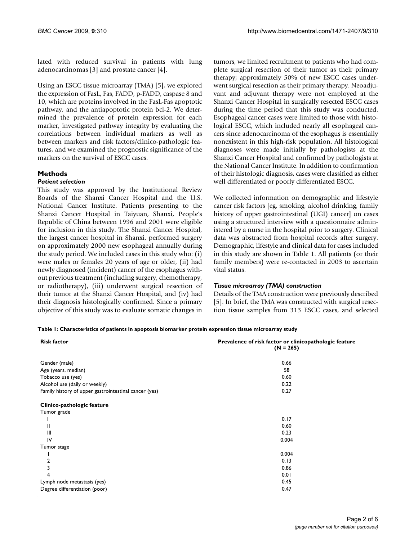lated with reduced survival in patients with lung adenocarcinomas [3] and prostate cancer [4].

Using an ESCC tissue microarray (TMA) [5], we explored the expression of FasL, Fas, FADD, p-FADD, caspase 8 and 10, which are proteins involved in the FasL-Fas apoptotic pathway, and the antiapoptotic protein bcl-2. We determined the prevalence of protein expression for each marker, investigated pathway integrity by evaluating the correlations between individual markers as well as between markers and risk factors/clinico-pathologic features, and we examined the prognostic significance of the markers on the survival of ESCC cases.

#### **Methods**

#### *Patient selection*

This study was approved by the Institutional Review Boards of the Shanxi Cancer Hospital and the U.S. National Cancer Institute. Patients presenting to the Shanxi Cancer Hospital in Taiyuan, Shanxi, People's Republic of China between 1996 and 2001 were eligible for inclusion in this study. The Shanxi Cancer Hospital, the largest cancer hospital in Shanxi, performed surgery on approximately 2000 new esophageal annually during the study period. We included cases in this study who: (i) were males or females 20 years of age or older, (ii) had newly diagnosed (incident) cancer of the esophagus without previous treatment (including surgery, chemotherapy, or radiotherapy), (iii) underwent surgical resection of their tumor at the Shanxi Cancer Hospital, and (iv) had their diagnosis histologically confirmed. Since a primary objective of this study was to evaluate somatic changes in tumors, we limited recruitment to patients who had complete surgical resection of their tumor as their primary therapy; approximately 50% of new ESCC cases underwent surgical resection as their primary therapy. Neoadjuvant and adjuvant therapy were not employed at the Shanxi Cancer Hospital in surgically resected ESCC cases during the time period that this study was conducted. Esophageal cancer cases were limited to those with histological ESCC, which included nearly all esophageal cancers since adenocarcinoma of the esophagus is essentially nonexistent in this high-risk population. All histological diagnoses were made initially by pathologists at the Shanxi Cancer Hospital and confirmed by pathologists at the National Cancer Institute. In addition to confirmation of their histologic diagnosis, cases were classified as either well differentiated or poorly differentiated ESCC.

We collected information on demographic and lifestyle cancer risk factors [eg, smoking, alcohol drinking, family history of upper gastrointestinal (UGI) cancer] on cases using a structured interview with a questionnaire administered by a nurse in the hospital prior to surgery. Clinical data was abstracted from hospital records after surgery. Demographic, lifestyle and clinical data for cases included in this study are shown in Table 1. All patients (or their family members) were re-contacted in 2003 to ascertain vital status.

#### *Tissue microarray (TMA) construction*

Details of the TMA construction were previously described [5]. In brief, the TMA was constructed with surgical resection tissue samples from 313 ESCC cases, and selected

**Table 1: Characteristics of patients in apoptosis biomarker protein expression tissue microarray study**

| Prevalence of risk factor or clinicopathologic feature<br>$(N = 265)$ |
|-----------------------------------------------------------------------|
|                                                                       |
| 0.66                                                                  |
| 58                                                                    |
| 0.60                                                                  |
| 0.22                                                                  |
| 0.27                                                                  |
|                                                                       |
|                                                                       |
| 0.17                                                                  |
| 0.60                                                                  |
| 0.23                                                                  |
| 0.004                                                                 |
|                                                                       |
| 0.004                                                                 |
| 0.13                                                                  |
| 0.86                                                                  |
| 0.01                                                                  |
| 0.45                                                                  |
| 0.47                                                                  |
|                                                                       |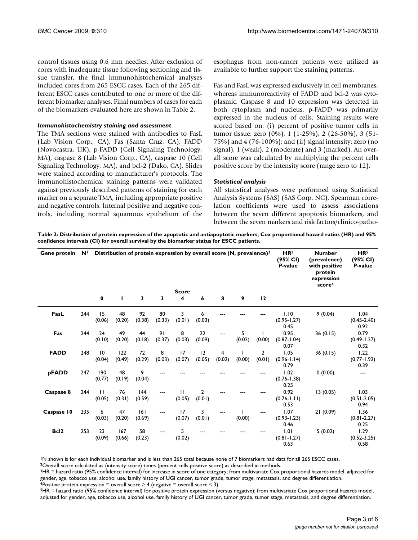control tissues using 0.6 mm needles. After exclusion of cores with inadequate tissue following sectioning and tissue transfer, the final immunohistochemical analyses included cores from 265 ESCC cases. Each of the 265 different ESCC cases contributed to one or more of the different biomarker analyses. Final numbers of cases for each of the biomarkers evaluated here are shown in Table 2.

#### *Immunohistochemistry staining and assessment*

The TMA sections were stained with antibodies to FasL (Lab Vision Corp., CA), Fas (Santa Cruz, CA), FADD (Novocastra, UK), p-FADD (Cell Signaling Technology, MA), caspase 8 (Lab Vision Corp., CA), caspase 10 (Cell Signaling Technology, MA), and bcl-2 (Dako, CA). Slides were stained according to manufacturer's protocols. The immunohistochemical staining patterns were validated against previously described patterns of staining for each marker on a separate TMA, including appropriate positive and negative controls. Internal positive and negative controls, including normal squamous epithelium of the esophagus from non-cancer patients were utilized as available to further support the staining patterns.

Fas and FasL was expressed exclusively in cell membranes, whereas immunoreactivity of FADD and bcl-2 was cytoplasmic. Caspase 8 and 10 expression was detected in both cytoplasm and nucleus. p-FADD was primarily expressed in the nucleus of cells. Staining results were scored based on: (i) percent of positive tumor cells in tumor tissue: zero (0%), 1 (1-25%), 2 (26-50%), 3 (51- 75%) and 4 (76-100%); and (ii) signal intensity: zero (no signal), 1 (weak), 2 (moderate) and 3 (marked). An overall score was calculated by multiplying the percent cells positive score by the intensity score (range zero to 12).

#### *Statistical analysis*

All statistical analyses were performed using Statistical Analysis Systems (SAS) (SAS Corp, NC). Spearman correlation coefficients were used to assess associations between the seven different apoptosis biomarkers, and between the seven markers and risk factors/clinico-patho-

**Table 2: Distribution of protein expression of the apoptotic and antiapoptotic markers, Cox proportional hazard ratios (HR) and 95% confidence intervals (CI) for overall survival by the biomarker status for ESCC patients.**

| Gene protein     | N <sup>1</sup> | HR <sup>3</sup><br>Distribution of protein expression by overall score (N, prevalence) <sup>2</sup><br>(95% CI)<br>P-value |               |               |              |                                         |                          |             |             | <b>Number</b><br>(prevalence)<br>with positive<br>protein<br>expression<br>score <sup>4</sup> | HR <sup>5</sup><br>(95% CI)<br>P-value |          |                                 |
|------------------|----------------|----------------------------------------------------------------------------------------------------------------------------|---------------|---------------|--------------|-----------------------------------------|--------------------------|-------------|-------------|-----------------------------------------------------------------------------------------------|----------------------------------------|----------|---------------------------------|
|                  |                | $\mathbf 0$                                                                                                                | L             | $\mathbf{2}$  | 3            | <b>Score</b><br>$\overline{\mathbf{4}}$ | 6                        | 8           | 9           | 12                                                                                            |                                        |          |                                 |
| FasL             | 244            | 15<br>(0.06)                                                                                                               | 48<br>(0.20)  | 92<br>(0.38)  | 80<br>(0.33) | 3<br>(0.01)                             | 6<br>(0.03)              |             |             |                                                                                               | 1.10<br>$(0.95 - 1.27)$<br>0.45        | 9(0.04)  | 1.04<br>$(0.45 - 2.40)$<br>0.92 |
| Fas              | 244            | 24<br>(0.10)                                                                                                               | 49<br>(0.20)  | 44<br>(0.18)  | 91<br>(0.37) | 8<br>(0.03)                             | 22<br>(0.09)             |             | 5<br>(0.02) | (0.00)                                                                                        | 0.95<br>$(0.87 - 1.04)$<br>0.07        | 36(0.15) | 0.79<br>$(0.49 - 1.27)$<br>0.32 |
| <b>FADD</b>      | 248            | 10<br>(0.04)                                                                                                               | 122<br>(0.49) | 72<br>(0.29)  | 8<br>(0.03)  | 17<br>(0.07)                            | 12<br>(0.05)             | 4<br>(0.02) | (0.00)      | $\overline{2}$<br>(0.01)                                                                      | 1.05<br>$(0.96 - 1.14)$<br>0.79        | 36(0.15) | 1.22<br>$(0.77 - 1.92)$<br>0.39 |
| pFADD            | 247            | 190<br>(0.77)                                                                                                              | 48<br>(0.19)  | 9<br>(0.04)   |              |                                         |                          |             |             |                                                                                               | 1.02<br>$(0.76 - 1.38)$<br>0.25        | 0(0.00)  | ---                             |
| Caspase 8        | 244            | $\mathbf{H}$<br>(0.05)                                                                                                     | 76<br>(0.31)  | 144<br>(0.59) |              | $\mathbf{1}$<br>(0.05)                  | $\overline{2}$<br>(0.01) |             |             |                                                                                               | 0.92<br>$(0.76 - 1.11)$<br>0.53        | 13(0.05) | 1.03<br>$(0.51 - 2.05)$<br>0.94 |
| Caspase 10       | 235            | 6<br>(0.03)                                                                                                                | 47<br>(0.20)  | 6 <br>(0.69)  | ---          | 17<br>(0.07)                            | 3<br>(0.01)              |             | (0.00)      |                                                                                               | 1.07<br>$(0.93 - 1.23)$<br>0.46        | 21(0.09) | 1.36<br>$(0.81 - 2.27)$<br>0.25 |
| Bcl <sub>2</sub> | 253            | 23<br>(0.09)                                                                                                               | 167<br>(0.66) | 58<br>(0.23)  |              | 5<br>(0.02)                             |                          |             |             |                                                                                               | 1.01<br>$(0.81 - 1.27)$<br>0.63        | 5(0.02)  | 1.29<br>$(0.52 - 3.25)$<br>0.58 |

1N shown is for each individual biomarker and is less than 265 total because none of 7 biomarkers had data for all 265 ESCC cases.

2Overall score calculated as (intensity score) times (percent cells positive score) as described in methods.

<sup>3</sup>HR = hazard ratio (95% confidence interval) for increase in score of one category; from multivariate Cox proportional hazards model, adjusted for gender, age, tobacco use, alcohol use, family history of UGI cancer, tumor grade, tumor stage, metastasis, and degree differentiation.  $\overline{4}$ Positive protein expression = overall score  $\geq 4$  (negative = overall score  $\leq 3$ ).

5HR = hazard ratio (95% confidence interval) for positive protein expression (versus negative); from multivariate Cox proportional hazards model, adjusted for gender, age, tobacco use, alcohol use, family history of UGI cancer, tumor grade, tumor stage, metastasis, and degree differentiation.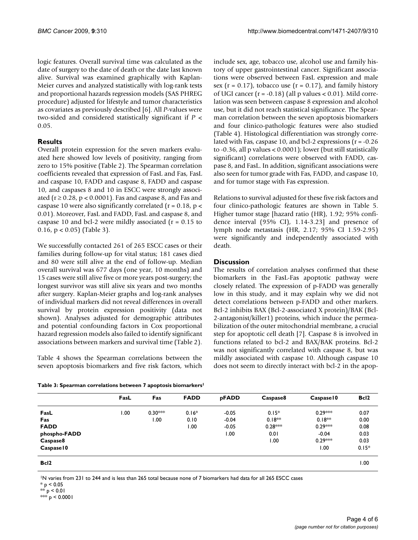logic features. Overall survival time was calculated as the date of surgery to the date of death or the date last known alive. Survival was examined graphically with Kaplan-Meier curves and analyzed statistically with log-rank tests and proportional hazards regression models (SAS PHREG procedure) adjusted for lifestyle and tumor characteristics as covariates as previously described [6]. All *P*-values were two-sided and considered statistically significant if *P* < 0.05.

### **Results**

Overall protein expression for the seven markers evaluated here showed low levels of positivity, ranging from zero to 15% positive (Table 2). The Spearman correlation coefficients revealed that expression of FasL and Fas, FasL and caspase 10, FADD and caspase 8, FADD and caspase 10, and caspases 8 and 10 in ESCC were strongly associated ( $r \ge 0.28$ ,  $p < 0.0001$ ). Fas and caspase 8, and Fas and caspase 10 were also significantly correlated ( $r = 0.18$ ,  $p <$ 0.01). Moreover, FasL and FADD, FasL and caspase 8, and caspase 10 and bcl-2 were mildly associated ( $r = 0.15$  to 0.16,  $p < 0.05$ ) (Table 3).

We successfully contacted 261 of 265 ESCC cases or their families during follow-up for vital status; 181 cases died and 80 were still alive at the end of follow-up. Median overall survival was 677 days (one year, 10 months) and 15 cases were still alive five or more years post-surgery; the longest survivor was still alive six years and two months after surgery. Kaplan-Meier graphs and log-rank analyses of individual markers did not reveal differences in overall survival by protein expression positivity (data not shown). Analyses adjusted for demographic attributes and potential confounding factors in Cox proportional hazard regression models also failed to identify significant associations between markers and survival time (Table 2).

Table 4 shows the Spearman correlations between the seven apoptosis biomarkers and five risk factors, which include sex, age, tobacco use, alcohol use and family history of upper gastrointestinal cancer. Significant associations were observed between FasL expression and male sex ( $r = 0.17$ ), tobacco use ( $r = 0.17$ ), and family history of UGI cancer ( $r = -0.18$ ) (all p values < 0.01). Mild correlation was seen between caspase 8 expression and alcohol use, but it did not reach statistical significance. The Spearman correlation between the seven apoptosis biomarkers and four clinico-pathologic features were also studied (Table 4). Histological differentiation was strongly correlated with Fas, caspase 10, and bcl-2 expressions (r = -0.26 to -0.36, all p values < 0.0001); lower (but still statistically significant) correlations were observed with FADD, caspase 8, and FasL. In addition, significant associations were also seen for tumor grade with Fas, FADD, and caspase 10, and for tumor stage with Fas expression.

Relations to survival adjusted for these five risk factors and four clinico-pathologic features are shown in Table 5. Higher tumor stage [hazard ratio (HR), 1.92; 95% confidence interval (95% CI), 1.14-3.23] and presence of lymph node metastasis (HR, 2.17; 95% CI 1.59-2.95) were significantly and independently associated with death.

### **Discussion**

The results of correlation analyses confirmed that these biomarkers in the FasL-Fas apoptotic pathway were closely related. The expression of p-FADD was generally low in this study, and it may explain why we did not detect correlations between p-FADD and other markers. Bcl-2 inhibits BAX (Bcl-2-associated X protein)/BAK (Bcl-2-antagonist/killer1) proteins, which induce the permeabilization of the outer mitochondrial membrane, a crucial step for apoptotic cell death [7]. Caspase 8 is involved in functions related to bcl-2 and BAX/BAK proteins. Bcl-2 was not significantly correlated with caspase 8, but was mildly associated with caspase 10. Although caspase 10 does not seem to directly interact with bcl-2 in the apop-

|                  | FasL | Fas       | <b>FADD</b> | pFADD   | Caspase8  | Caspase 10 | Bcl <sub>2</sub> |
|------------------|------|-----------|-------------|---------|-----------|------------|------------------|
| FasL             | 00.1 | $0.30***$ | $0.16*$     | $-0.05$ | $0.15*$   | $0.29***$  | 0.07             |
| Fas              |      | 1.00      | 0.10        | $-0.04$ | $0.18**$  | $0.18**$   | 0.00             |
| <b>FADD</b>      |      |           | 1.00        | $-0.05$ | $0.28***$ | $0.29***$  | 0.08             |
| phospho-FADD     |      |           |             | 00.1    | 0.01      | $-0.04$    | 0.03             |
| Caspase8         |      |           |             |         | 00.1      | $0.29***$  | 0.03             |
| Caspase 10       |      |           |             |         |           | 00.1       | $0.15*$          |
| Bcl <sub>2</sub> |      |           |             |         |           |            | 1.00             |

**Table 3: Spearman correlations between 7 apoptosis biomarkers1**

1N varies from 231 to 244 and is less than 265 total because none of 7 biomarkers had data for all 265 ESCC cases  $*$  p < 0.05

 $*$  p < 0.01

\*\*\*  $p < 0.0001$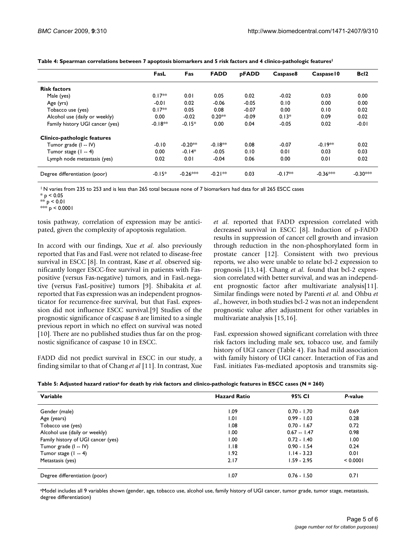|                                 | FasL      | Fas        | <b>FADD</b> | pFADD   | Caspase8  | Caspase 10 | Bcl <sub>2</sub> |
|---------------------------------|-----------|------------|-------------|---------|-----------|------------|------------------|
| <b>Risk factors</b>             |           |            |             |         |           |            |                  |
| Male (yes)                      | $0.17**$  | 0.01       | 0.05        | 0.02    | $-0.02$   | 0.03       | 0.00             |
| Age (yrs)                       | $-0.01$   | 0.02       | $-0.06$     | $-0.05$ | 0.10      | 0.00       | 0.00             |
| Tobacco use (yes)               | $0.17**$  | 0.05       | 0.08        | $-0.07$ | 0.00      | 0.10       | 0.02             |
| Alcohol use (daily or weekly)   | 0.00      | $-0.02$    | $0.20**$    | $-0.09$ | $0.13*$   | 0.09       | 0.02             |
| Family history UGI cancer (yes) | $-0.18**$ | $-0.15*$   | 0.00        | 0.04    | $-0.05$   | 0.02       | $-0.01$          |
| Clinico-pathologic features     |           |            |             |         |           |            |                  |
| Tumor grade (I -- IV)           | $-0.10$   | $-0.20**$  | $-0.18**$   | 0.08    | $-0.07$   | $-0.19**$  | 0.02             |
| Tumor stage (1 -- 4)            | 0.00      | $-0.14*$   | $-0.05$     | 0.10    | 0.01      | 0.03       | 0.03             |
| Lymph node metastasis (yes)     | 0.02      | 0.01       | $-0.04$     | 0.06    | 0.00      | 0.01       | 0.02             |
| Degree differentiation (poor)   | $-0.15*$  | $-0.26***$ | $-0.21***$  | 0.03    | $-0.17**$ | $-0.36***$ | $-0.30***$       |

**Table 4: Spearman correlations between 7 apoptosis biomarkers and 5 risk factors and 4 clinico-pathologic features1**

1 N varies from 235 to 253 and is less than 265 total because none of 7 biomarkers had data for all 265 ESCC cases

 $*$  p < 0.05

\*\*  $p < 0.01$ 

\*\*\*  $p < 0.0001$ 

tosis pathway, correlation of expression may be anticipated, given the complexity of apoptosis regulation.

In accord with our findings, Xue *et al.* also previously reported that Fas and FasL were not related to disease-free survival in ESCC [8]. In contrast, Kase *et al.* observed significantly longer ESCC-free survival in patients with Faspositive (versus Fas-negative) tumors, and in FasL-negative (versus FasL-positive) tumors [9]. Shibakita *et al.* reported that Fas expression was an independent prognosticator for recurrence-free survival, but that FasL expression did not influence ESCC survival.[9] Studies of the prognostic significance of caspase 8 are limited to a single previous report in which no effect on survival was noted [10]. There are no published studies thus far on the prognostic significance of caspase 10 in ESCC.

FADD did not predict survival in ESCC in our study, a finding similar to that of Chang *et al* [11]. In contrast, Xue *et al.* reported that FADD expression correlated with decreased survival in ESCC [8]. Induction of p-FADD results in suppression of cancer cell growth and invasion through reduction in the non-phosphorylated form in prostate cancer [12]. Consistent with two previous reports, we also were unable to relate bcl-2 expression to prognosis [13,14]. Chang *et al.* found that bcl-2 expression correlated with better survival, and was an independent prognostic factor after multivariate analysis[11]. Similar findings were noted by Parenti *et al.* and Ohbu *et al.*, however, in both studies bcl-2 was not an independent prognostic value after adjustment for other variables in multivariate analysis [15,16].

FasL expression showed significant correlation with three risk factors including male sex, tobacco use, and family history of UGI cancer (Table 4). Fas had mild association with family history of UGI cancer. Interaction of Fas and FasL initiates Fas-mediated apoptosis and transmits sig-

| Table 5: Adjusted hazard ratiosª for death by risk factors and clinico-pathologic features in ESCC cases (N = 260) |  |  |
|--------------------------------------------------------------------------------------------------------------------|--|--|

| Variable                           | <b>Hazard Ratio</b> | 95% CI        | P-value  |
|------------------------------------|---------------------|---------------|----------|
| Gender (male)                      | 1.09                | $0.70 - 1.70$ | 0.69     |
| Age (years)                        | 1.01                | $0.99 - 1.03$ | 0.28     |
| Tobacco use (yes)                  | 1.08                | $0.70 - 1.67$ | 0.72     |
| Alcohol use (daily or weekly)      | 1.00                | $0.67 - 1.47$ | 0.98     |
| Family history of UGI cancer (yes) | 1.00                | $0.72 - 1.40$ | 00.1     |
| Tumor grade (I -- IV)              | 1.18                | $0.90 - 1.54$ | 0.24     |
| Tumor stage $(1 - 4)$              | 1.92                | $1.14 - 3.23$ | 0.01     |
| Metastasis (yes)                   | 2.17                | $1.59 - 2.95$ | < 0.0001 |
| Degree differentiation (poor)      | 1.07                | $0.76 - 1.50$ | 0.71     |

aModel includes all 9 variables shown (gender, age, tobacco use, alcohol use, family history of UGI cancer, tumor grade, tumor stage, metastasis, degree differentiation)